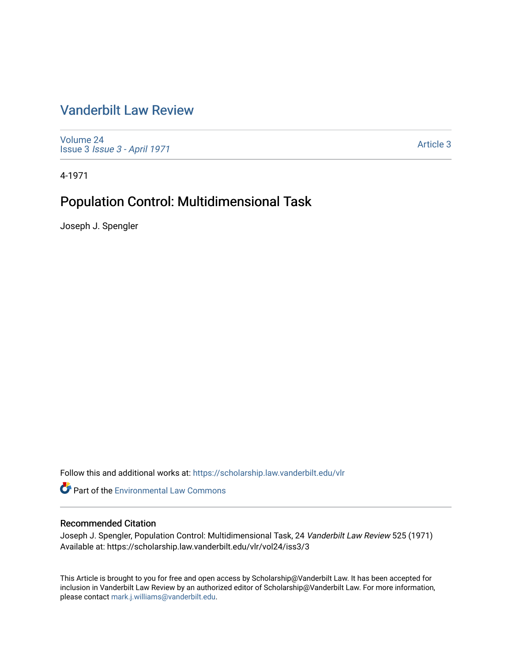# [Vanderbilt Law Review](https://scholarship.law.vanderbilt.edu/vlr)

[Volume 24](https://scholarship.law.vanderbilt.edu/vlr/vol24) Issue 3 [Issue 3 - April 1971](https://scholarship.law.vanderbilt.edu/vlr/vol24/iss3)

[Article 3](https://scholarship.law.vanderbilt.edu/vlr/vol24/iss3/3) 

4-1971

# Population Control: Multidimensional Task

Joseph J. Spengler

Follow this and additional works at: [https://scholarship.law.vanderbilt.edu/vlr](https://scholarship.law.vanderbilt.edu/vlr?utm_source=scholarship.law.vanderbilt.edu%2Fvlr%2Fvol24%2Fiss3%2F3&utm_medium=PDF&utm_campaign=PDFCoverPages)

**Part of the [Environmental Law Commons](http://network.bepress.com/hgg/discipline/599?utm_source=scholarship.law.vanderbilt.edu%2Fvlr%2Fvol24%2Fiss3%2F3&utm_medium=PDF&utm_campaign=PDFCoverPages)** 

## Recommended Citation

Joseph J. Spengler, Population Control: Multidimensional Task, 24 Vanderbilt Law Review 525 (1971) Available at: https://scholarship.law.vanderbilt.edu/vlr/vol24/iss3/3

This Article is brought to you for free and open access by Scholarship@Vanderbilt Law. It has been accepted for inclusion in Vanderbilt Law Review by an authorized editor of Scholarship@Vanderbilt Law. For more information, please contact [mark.j.williams@vanderbilt.edu.](mailto:mark.j.williams@vanderbilt.edu)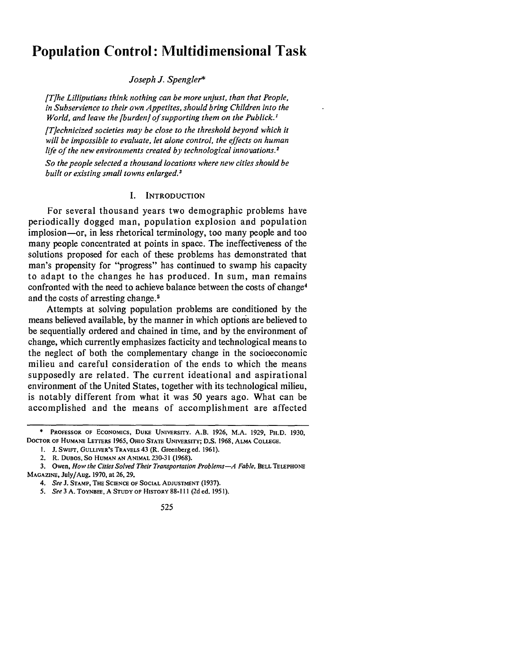# **Population Control: Multidimensional Task**

#### *Joseph J. Spengler\**

*[The Lilliputians think nothing can be more unjust, than that People, in Subservience to their own Appetites, should bring Children into the World, and leave the [burden] of supporting them on the Publick.'*

*[Technicized societies may be close to the threshold beyond which it will be impossible to evaluate, let alone control, the effects on human life of the new environments created by technological innovations.2*

*So the people selected a thousand locations where new cities should be built or existing small towns enlarged.3*

#### I. **INTRODUCTION**

For several thousand years two demographic problems have periodically dogged man, population explosion and population implosion-or, in less rhetorical terminology, too many people and too many people concentrated at points in space. The ineffectiveness of the solutions proposed for each of these problems has demonstrated that man's propensity for "progress" has continued to swamp his capacity to adapt to the changes he has produced. In sum, man remains confronted with the need to achieve balance between the costs of change4 and the costs of arresting change. <sup>5</sup>

Attempts at solving population problems are conditioned by the means believed available, by the manner in which options are believed to be sequentially ordered and chained in time, and by the environment of change, which currently emphasizes facticity and technological means to the neglect of both the complementary change in the socioeconomic milieu and careful consideration of the ends to which the means supposedly are related. The current ideational and aspirational environment of the United States, together with its technological milieu, is notably different from what it was 50 years ago. What can be accomplished and the means of accomplishment are affected

<sup>\*</sup> **PROFESSOR OF** ECONOMICS, **DUKE UNIVERSITY. A.B. 1926,** M.A. **1929, PH.D. 1930, DOCTOR OF** HUMANE **LETTERS 1965, OHIO STATE UNIVERSITY; D.S. 1968, ALMA COLLEGE.**

**I. J. SwIFT, GULLIVER'S** TRAVELS **43 (R.** Greenberg **ed. 1961).**

<sup>2.</sup> **R. DUBOS, So HUMAN AN ANIMAL 230-31 (1968).**

**<sup>3.</sup>** Owen, *How the Cities Solved Their Transportation Problems-A Fable,* **BELL TELEPHONE MAGAZINE,** July/Aug. **1970,** at **26, 29.**

*<sup>4.</sup> See* **J. STAMP, THE SCIENCE OF SOCIAL** ADJUSTMENT **(1937).**

*<sup>5.</sup> See 3* **A. TOYNBEE, A STUDY** OF **HISTORY 88-111 (2d ed. 1951).**

<sup>525</sup>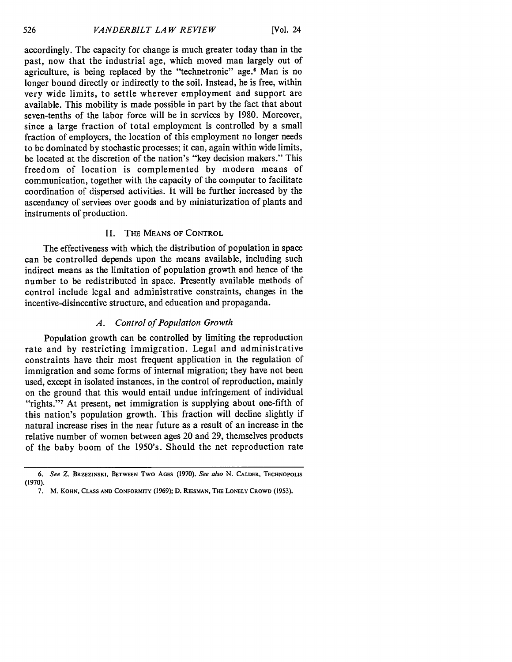**[Vol.** 24

accordingly. The capacity for change is much greater today than in the past, now that the industrial age, which moved man largely out of agriculture, is being replaced by the "technetronic" age.<sup>6</sup> Man is no longer bound directly or indirectly to the soil. Instead, he is free, within very wide limits, to settle wherever employment and support are available. This mobility is made possible in part by the fact that about seven-tenths of the labor force will be in services by 1980. Moreover, since a large fraction of total employment is controlled by a small fraction of employers, the location of this employment no longer needs to be dominated by stochastic processes; it can, again within wide limits, be located at the discretion of the nation's "key decision makers." This freedom of location is complemented by modern means of communication, together with the capacity of the computer to facilitate coordination of dispersed activities. It will be further increased by the ascendancy of services over goods and by miniaturization of plants and instruments of production.

## II. **THE MEANS** OF CONTROL

The effectiveness with which the distribution of population in space can be controlled depends upon the means available, including such indirect means as the limitation of population growth and hence of the number to be redistributed in space. Presently available methods of control include legal and administrative constraints, changes in the incentive-disincentive structure, and education and propaganda.

## *A. Control of Population Growth*

Population growth can be controlled **by** limiting the reproduction rate and **by** restricting immigration. Legal and administrative constraints have their most frequent application in the regulation of immigration and some forms of internal migration; they have not been used, except in isolated instances, in the control of reproduction, mainly on the ground that this would entail undue infringement of individual "rights."<sup>7</sup> At present, net immigration is supplying about one-fifth of this nation's population growth. This fraction will decline slightly if natural increase rises in the near future as a result of an increase in the relative number of women between ages 20 and 29, themselves products of the baby boom of the 1950's. Should the net reproduction rate

526

**<sup>6.</sup>** See **Z. BRZEZINSKI, BETWEEN Two AGES (1970).** See also **N. CALDER, TECHNOPOLIS (1970).**

<sup>7.</sup> M. KOHN, **CLASS AND** CONFORMITY **(1969); D.** RIESMAN, **THE LONELY** CROWD **(1953).**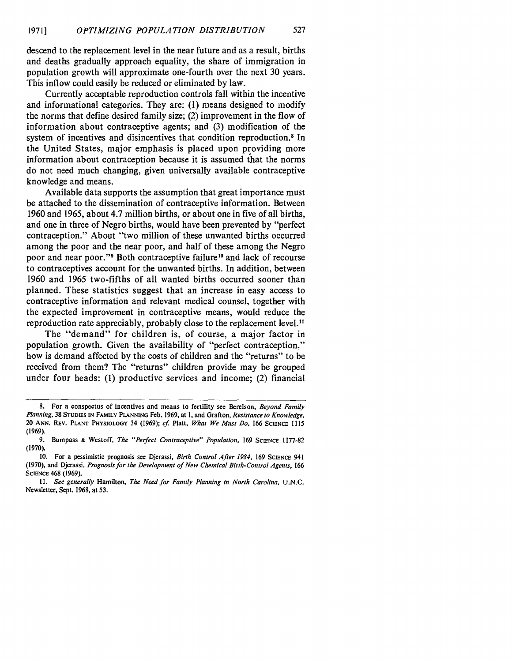descend to the replacement level in the near future and as a result, births and deaths gradually approach equality, the share of immigration in population growth will approximate one-fourth over the next 30 years. This inflow could easily be reduced or eliminated by law.

Currently acceptable reproduction controls fall within the incentive and informational categories. They are: (1) means designed to modify the norms that define desired family size; (2) improvement in the flow of information about contraceptive agents; and (3) modification of the system of incentives and disincentives that condition reproduction.<sup>8</sup> In the United States, major emphasis is placed upon providing more information about contraception because it is assumed that the norms do not need much changing, given universally available contraceptive knowledge and means.

Available data supports the assumption that great importance must be attached to the dissemination of contraceptive information. Between 1960 and 1965, about 4.7 million births, or about one in five of all births, and one in three of Negro births, would have been prevented by "perfect contraception." About "two million of these unwanted births occurred among the poor and the near poor, and half of these among the Negro poor and near poor."<sup>9</sup> Both contraceptive failure<sup>10</sup> and lack of recourse to contraceptives account for the unwanted births. In addition, between 1960 and 1965 two-fifths of all wanted births occurred sooner than planned. These statistics suggest that an increase in easy access to contraceptive information and relevant medical counsel, together with the expected improvement in contraceptive means, would reduce the reproduction rate appreciably, probably close to the replacement level."

The "demand" for children is, of course, a major factor in population growth. Given the availability of "perfect contraception," how is demand affected by the costs of children and the "returns" to be received from them? The "returns" children provide may be grouped under four heads: **(1)** productive services and income; (2) financial

**<sup>8.</sup>** For a conspectus **of** incentives and means to fertility see Berelson, *Beyond Family Planning,* **38 STUDIES IN FAMmY PLANNING** Feb. **1969,** at **1,** and Grafton, *Resistance to Knowledge,* 20 **ANN.** REV. **PLANT PHYSIOLOGY** 34 (1969); *cf* Platt, *What We Must Do,* 166 **SCIENCE 1115** (1969).

**<sup>9.</sup>** Bumpass **&** Westoff, *The "Perfect Contraceptive" Population,* 169 **SCIENCE 1177-82 (1970).**

**<sup>10.</sup>** For a pessimistic prognosis see Djerassi, *Birth Control After 1984,* 169 **SCIENCE** 941 **(1970),** and Djerassi, *Prognosis for the Development of New Chemical Birth-Control Agents,* **<sup>166</sup> SCIENCE** 468 **(1969).**

*II. See generally* Hamilton, *The Need for Family Planning in North Carolina,* **U.N.C.** Newsletter, Sept. **1968,** at **53.**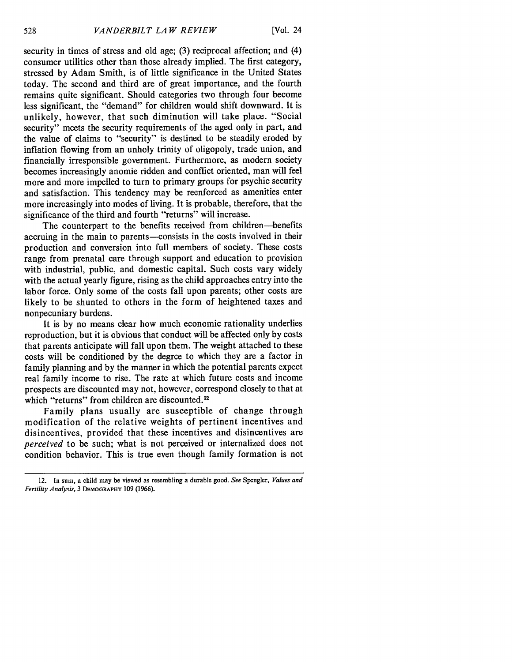security in times of stress and old age; (3) reciprocal affection; and (4) consumer utilities other than those already implied. The first category, stressed by Adam Smith, is of little significance in the United States today. The second and third are of great importance, and the fourth remains quite significant. Should categories two through four become less significant, the "demand" for children would shift downward. It is unlikely, however, that such diminution will take place. "Social security" meets the security requirements of the aged only in part, and the value of claims to "security" is destined to be steadily eroded by inflation flowing from an unholy trinity of oligopoly, trade union, and financially irresponsible government. Furthermore, as modern society becomes increasingly anomie ridden and conflict oriented, man will feel more and more impelled to turn to primary groups for psychic security and satisfaction. This tendency may be reenforced as amenities enter more increasingly into modes of living. It is probable, therefore, that the significance of the third and fourth "returns" will increase.

The counterpart to the benefits received from children-benefits accruing in the main to parents-consists in the costs involved in their production and conversion into full members of society. These costs range from prenatal care through support and education to provision with industrial, public, and domestic capital. Such costs vary widely with the actual yearly figure, rising as the child approaches entry into the labor force. Only some of the costs fall upon parents; other costs are likely to be shunted to others in the form of heightened taxes and nonpecuniary burdens.

It is by no means clear how much economic rationality underlies reproduction, but it is obvious that conduct will be affected only by costs that parents anticipate will fall upon them. The weight attached to these costs will be conditioned by the degree to which they are a factor in family planning and by the manner in which the potential parents expect real family income to rise. The rate at which future costs and income prospects are discounted may not, however, correspond closely to that at which "returns" from children are discounted.<sup>12</sup>

Family plans usually are susceptible of change through modification of the relative weights of pertinent incentives and disincentives, provided that these incentives and disincentives are *perceived* to be such; what is not perceived or internalized does not condition behavior. This is true even though family formation is not

<sup>12.</sup> In sum, a child may be viewed as resembling a durable good. *See* Spengler, *Values and Fertility Analysis,* 3 **DEMOGRAPHY** 109 (1966).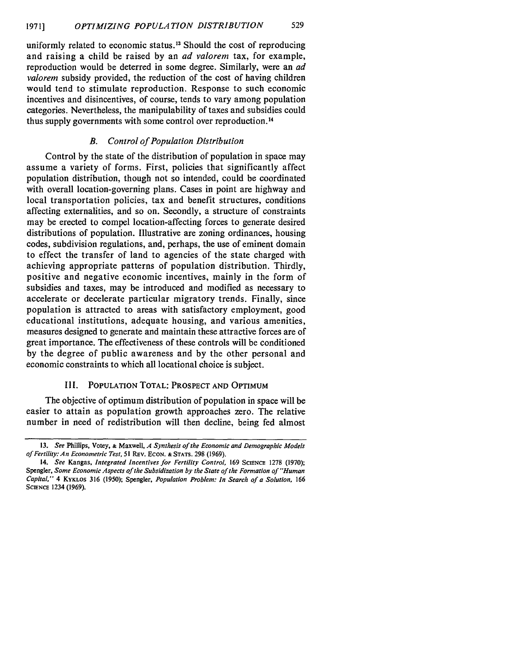uniformly related to economic status. 13 Should the cost of reproducing and raising a child be raised by an *ad valorem* tax, for example, reproduction would be deterred in some degree. Similarly, were an *ad valorem* subsidy provided, the reduction of the cost of having children would tend to stimulate reproduction. Response to such economic incentives and disincentives, of course, tends to vary among population categories. Nevertheless, the manipulability of taxes and subsidies could thus supply governments with some control over reproduction. <sup>14</sup>

## *B. Control of Population Distribution*

Control by the state of the distribution of population in space may assume a variety of forms. First, policies that significantly affect population distribution, though not so intended, could be coordinated with overall location-governing plans. Cases in point are highway and local transportation policies, tax and benefit structures, conditions affecting externalities, and so on. Secondly, a structure of constraints may be erected to compel location-affecting forces to generate desired distributions of population. Illustrative are zoning ordinances, housing codes, subdivision regulations, and, perhaps, the use of eminent domain to effect the transfer of land to agencies of the state charged with achieving appropriate patterns of population distribution. Thirdly, positive and negative economic incentives, mainly in the form of subsidies and taxes, may be introduced and modified as necessary to accelerate or decelerate particular migratory trends. Finally, since population is attracted to areas with satisfactory employment, good educational institutions, adequate housing, and various amenities, measures designed to generate and maintain these attractive forces are of great importance. The effectiveness of these controls will be conditioned by the degree of public awareness and by the other personal and economic constraints to which all locational choice is subject.

## III. **POPULATION** TOTAL: PROSPECT **AND** OPTIMUM

The objective of optimum distribution of population in space will be easier to attain as population growth approaches zero. The relative number in need of redistribution will then decline, being fed almost

**<sup>13.</sup>** *See* Phillips, Votey, **&** Maxwell, *A Synthesis of the Economic and Demographic Models of Fertility: An Econometric Test,* **51** REv. ECON. **& STATS.** 298 (1969).

<sup>14.</sup> *See* Kangas, *Integrated Incentives for Fertility Control,* <sup>169</sup>**SCIENCE** 1278 (1970); Spengler, *Some Economic Aspects of the Subsidization by the State of the Formation of "Human Capital,"* 4 KYKLOS 316 (1950); Spengler, *Population Problem: In Search of a Solution,* <sup>166</sup> **SCIENCE** 1234 **(1969).**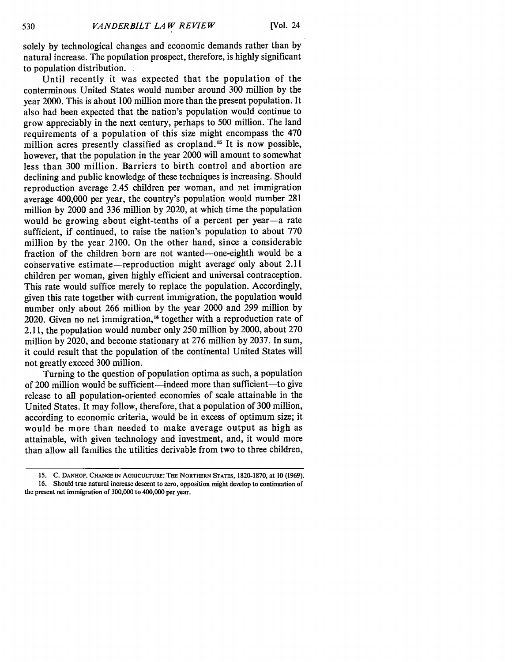solely by technological changes and economic demands rather than by natural increase. The population prospect, therefore, is highly significant to population distribution.

Until recently it was expected that the population of the conterminous United States would number around 300 million by the year 2000. This is about 100 million more than the present population. It also had been expected that the nation's population would continue to grow appreciably in the next century, perhaps to 500 million. The land requirements of a population of this size might encompass the 470 million acres presently classified as cropland.<sup>15</sup> It is now possible, however, that the population in the year 2000 will amount to somewhat less than 300 million. Barriers to birth control and abortion are declining and public knowledge of these techniques is increasing. Should reproduction average 2.45 children per woman, and net immigration average 400,000 per year, the country's population would number 281 million by 2000 and 336 million by 2020, at which time the population would be growing about eight-tenths of a percent per year-a rate sufficient, if continued, to raise the nation's population to about 770 million by the year 2100. On the other hand, since a considerable fraction of the children born are not wanted-one-eighth would be a conservative estimate—reproduction might average only about 2.11 children per woman, given highly efficient and universal contraception. This rate would suffice merely to replace the population. Accordingly, given this rate together with current immigration, the population would number only about 266 million by the year 2000 and 299 million by 2020. Given no net immigration,<sup>16</sup> together with a reproduction rate of 2.11, the population would number only 250 million by 2000, about 270 million by 2020, and become stationary at 276 million by 2037. In sum, it could result that the population of the continental United States will not greatly exceed 300 million.

Turning to the question of population optima as such, a population of 200 million would be sufficient-indeed more than sufficient-to give release to all population-oriented economies of scale attainable in the United States. It may follow, therefore, that a population of 300 million, according to economic criteria, would be in excess of optimum size; it would be more than needed to make average output as high as attainable, with given technology and investment, and, it would more than allow all families the utilities derivable from two to three children,

**<sup>15.</sup> C. DANHOF, CHANGE IN AGRICULTURE:** THE **NORTHERN STATES,** 1820-1870, at **10 (1969). 16. Should true natural** increase **descent to zero, opposition might develop to continuation of the present net immigration of 300,000 to** 400,000 **per year.**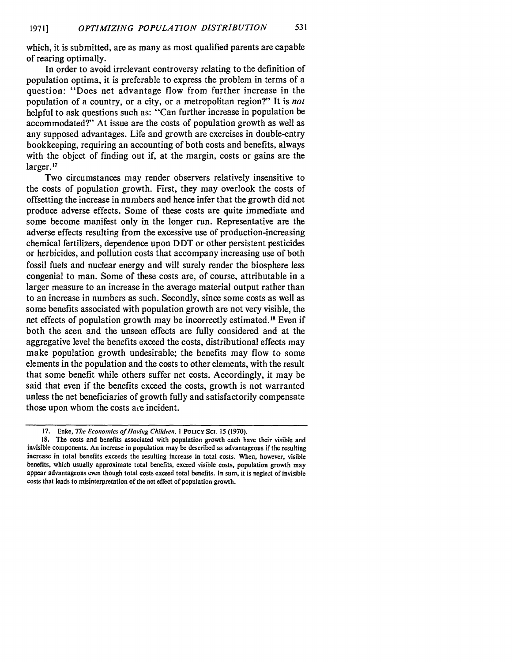which, it is submitted, are as many as most qualified parents are capable of rearing optimally.

In order to avoid irrelevant controversy relating to the definition of population optima, it is preferable to express the problem in terms of a question: "Does net advantage flow from further increase in the population of a country, or a city, or a metropolitan region?" It is *not* helpful to ask questions such as: "Can further increase in population be accommodated?" At issue are the costs of population growth as well as any supposed advantages. Life and growth are exercises in double-entry bookkeeping, requiring an accounting of both costs and benefits, always with the object of finding out if, at the margin, costs or gains are the larger.<sup>17</sup>

Two circumstances may render observers relatively insensitive to the costs of population growth. First, they may overlook the costs of offsetting the increase in numbers and hence infer that the growth did not produce adverse effects. Some of these costs are quite immediate and some become manifest only in the longer run. Representative are the adverse effects resulting from the excessive use of production-increasing chemical fertilizers, dependence upon DDT or other persistent pesticides or herbicides, and pollution costs that accompany increasing use of both fossil fuels and nuclear energy and will surely render the biosphere less congenial to man. Some of these costs are, of course, attributable in a larger measure to an increase in the average material output rather than to an increase in numbers as such. Secondly, since some costs as well as some benefits associated with population growth are not very visible, the net effects of population growth may be incorrectly estimated.<sup>18</sup> Even if both the seen and the unseen effects are fully considered and at the aggregative level the benefits exceed the costs, distributional effects may make population growth undesirable; the benefits may flow to some elements in the population and the costs to other elements, with the result that some benefit while others suffer net costs. Accordingly, it may be said that even if the benefits exceed the costs, growth is not warranted unless the net beneficiaries of growth fully and satisfactorily compensate those upon whom the costs are incident.

**<sup>17.</sup>** Enke, *The Economics of Having Children,* I POLICY **SCI. 15** (1970).

<sup>18.</sup> The costs and benefits associated with population growth each have their visible and invisible components. An increase in population may be described as advantageous if the resulting increase in total benefits exceeds the resulting increase in total costs. When, however, visible benefits, which usually approximate total benefits, exceed visible costs, population growth may appear advantageous even though total costs exceed total benefits. In sum, it is neglect of invisible costs that leads to misinterpretation of the net effect of population growth.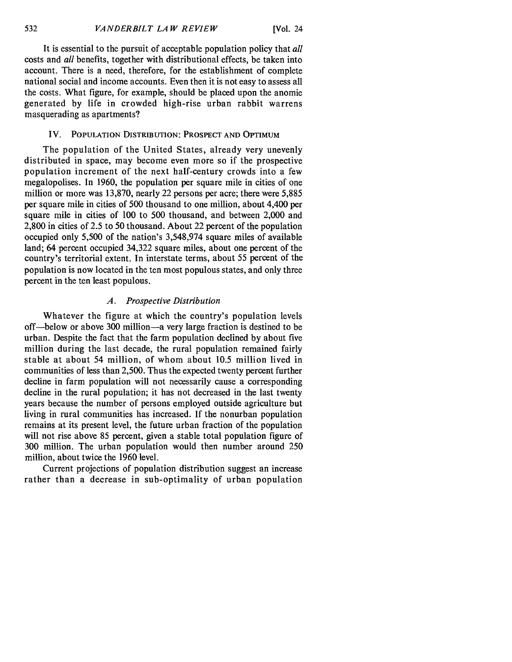It is essential to the pursuit of acceptable population policy that *all* costs and *all* benefits, together with distributional effects, be taken into account. There is a need, therefore, for the establishment of complete national social and income accounts. Even then it is not easy to assess all the costs. What figure, for example, should be placed upon the anomie generated by life in crowded high-rise urban rabbit warrens masquerading as apartments?

#### IV. **POPULATION** DISTRIBUTION: PROSPECT **AND** OPTIMUM

The population of the United States, already very unevenly distributed in space, may become even more so if the prospective population increment of the next half-century crowds into a few megalopolises. In 1960, the population per square mile in cities of one million or more was 13,870, nearly 22 persons per acre; there were 5,885 per square mile in cities of 500 thousand to one million, about 4,400 per square mile in cities of 100 to 500 thousand, and between 2,000 and 2,800 in cities of 2.5 to 50 thousand. About 22 percent of the population occupied only 5,500 of the nation's 3,548,974 square miles of available land; 64 percent occupied 34,322 square miles, about one percent of the country's territorial extent. In interstate terms, about 55 percent of the population is now located in the ten most populous states, and only three percent in the ten least populous.

## *A. Prospective Distribution*

Whatever the figure at which the country's population levels off-below or above 300 million-a very large fraction is destined to be urban. Despite the fact that the farm population declined by about five million during the last decade, the rural population remained fairly stable at about 54 million, of whom about 10.5 million lived in communities of less than 2,500. Thus the expected twenty percent further decline in farm population will not necessarily cause a corresponding decline in the rural population; it has not decreased in the last twenty years because the number of persons employed outside agriculture but living in rural communities has increased. If the nonurban population remains at its present level, the future urban fraction of the population will not rise above 85 percent, given a stable total population figure of 300 million. The urban population would then number around 250 million, about twice the 1960 level.

Current projections of population distribution suggest an increase rather than a decrease in sub-optimality of urban population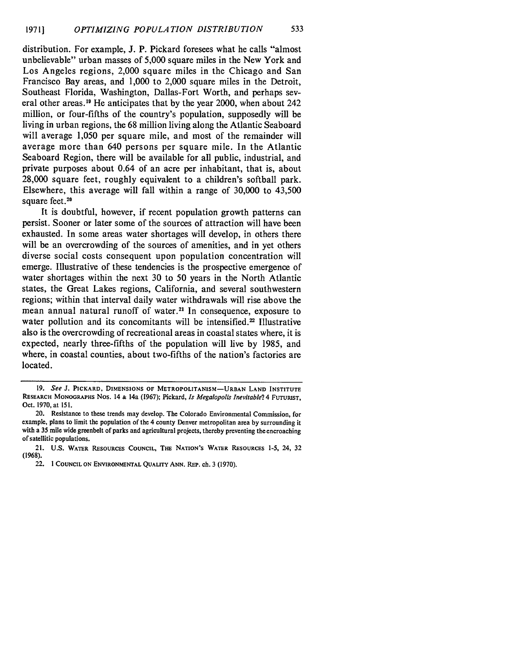distribution. For example, J. P. Pickard foresees what he calls "almost unbelievable" urban masses of 5,000 square miles in the New York and Los Angeles regions, 2,000 square miles in the Chicago and San Francisco Bay areas, and 1,000 to 2,000 square miles in the Detroit, Southeast Florida, Washington, Dallas-Fort Worth, and perhaps several other areas.19 He anticipates that by the year 2000, when about 242 million, or four-fifths of the country's population, supposedly will be living in urban regions, the 68 million living along the Atlantic Seaboard will average 1,050 per square mile, and most of the remainder will average more than 640 persons per square mile. In the Atlantic Seaboard Region, there will be available for all public, industrial, and private purposes about 0.64 of an acre per inhabitant, that is, about 28,000 square feet, roughly equivalent to a children's softball park. Elsewhere, this average will fall within a range of 30,000 to 43,500 square feet.<sup>20</sup>

It is doubtful, however, if recent population growth patterns can persist. Sooner or later some of the sources of attraction will have been exhausted. In some areas water shortages will develop, in others there will be an overcrowding of the sources of amenities, and in yet others diverse social costs consequent upon population concentration will emerge. Illustrative of these tendencies is the prospective emergence of water shortages within the next 30 to 50 years in the North Atlantic states, the Great Lakes regions, California, and several southwestern regions; within that interval daily water withdrawals will rise above the mean annual natural runoff of water.<sup>21</sup> In consequence, exposure to water pollution and its concomitants will be intensified.<sup>22</sup> Illustrative also is the overcrowding of recreational areas in coastal states where, it is expected, nearly three-fifths of the population will live by 1985, and where, in coastal counties, about two-fifths of the nation's factories are located.

**<sup>19.</sup>** *See* **J. PICKARD, DIMENSIONS OF METROPOLITANISM-URBAN LAND INSTITUTE RESEARCH MONOGRAPHS** Nos. 14 **&** 14a **(1967);** Pickard, *Is Megalopolis Inevitable?* 4 **FUTURIST,** Oct. 1970, at 151.

<sup>20.</sup> Resistance to these trends may develop. The Colorado Environmental Commission, for example, plans to limit the population of the 4 county Denver metropolitan area by surrounding it with a 35 mile wide greenbelt of parks and agricultural projects, thereby preventing the encroaching of satellitic populations.

<sup>21.</sup> U.S. **WATER RESOURCES COUNCIL, THE NATION'S** WATER **RESOURCES** 1-5, 24, 32 (1968).

<sup>22.</sup> **1 COUNCIL ON ENVIRONMENTAL QUALITY ANN. REP. ch.** 3 (1970).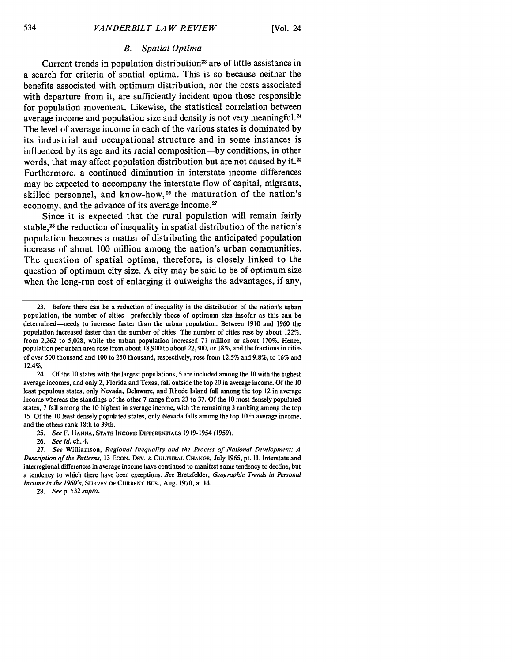## *B. Spatial Optima*

Current trends in population distribution<sup>23</sup> are of little assistance in a search for criteria of spatial optima. This is so because neither the benefits associated with optimum distribution, nor the costs associated with departure from it, are sufficiently incident upon those responsible for population movement. Likewise, the statistical correlation between average income and population size and density is not very meaningful.<sup>24</sup> The level of average income in each of the various states is dominated by its industrial and occupational structure and in some instances is influenced by its age and its racial composition-by conditions, in other words, that may affect population distribution but are not caused by it.<sup>25</sup> Furthermore, a continued diminution in interstate income differences may be expected to accompany the interstate flow of capital, migrants, skilled personnel, and know-how, 26 the maturation of the nation's economy, and the advance of its average income.<sup>27</sup>

Since it is expected that the rural population will remain fairly stable,<sup>28</sup> the reduction of inequality in spatial distribution of the nation's population becomes a matter of distributing the anticipated population increase of about 100 million among the nation's urban communities. The question of spatial optima, therefore, is closely linked to the question of optimum city size. A city may be said to be of optimum size when the long-run cost of enlarging it outweighs the advantages, if any,

24. Of the **10** states with the largest populations, **5** are included among the 10 with the highest average incomes, and only 2, Florida and Texas, fall outside the top 20 in average income. Of the 10 least populous states, only Nevada, Delaware, and Rhode Island fall among the top 12 in average income whereas the standings of the other 7 range from 23 to 37. Of the 10 most densely populated states, 7 fall among the 10 highest in average income, with the remaining 3 ranking among the top 15. Of the 10 least densely populated states, only Nevada falls among the top 10 in average income, and the others rank 18th to 39th.

25. *See* F. **HANNA, STATE** INcoME **DIFFERENTIALS** 1919-1954 (1959).

26. *See Id. ch.* 4.

28. *See* **p.** 532 *supra.*

**<sup>23.</sup>** Before there can be a reduction of inequality in the distribution of the nation's urban population, the number of cities-preferably those of optimum size insofar as this can be determined-needs to increase faster than the urban population. Between 1910 and 1960 the population increased faster than the number of cities. The number of cities rose by about 122%, from 2,262 to 5,028, while the urban population increased 71 million or about 170%. Hence, population per urban area rose from about 18,900 to about 22,300, or 18%, and the fractions in cities of over 500 thousand and 100 to 250 thousand, respectively, rose from 12.5% and 9.8%, to 16% and 12.4%.

<sup>27.</sup> *See* Williamson, *Regional Inequality and the Process of National Development: A Description of the Patterns,* 13 EcON. DEv. **& CULTURAL CHANGE,** July 1965, pt. II. Interstate and interregional differences in average income have continued to manifest some tendency to decline, but a tendency to which there have been exceptions. *See* Bretzfelder, *Geographic Trends in Personal Income in the 1960's,* **SURVEY OF CURRENT** Bus., Aug. 1970, at 14.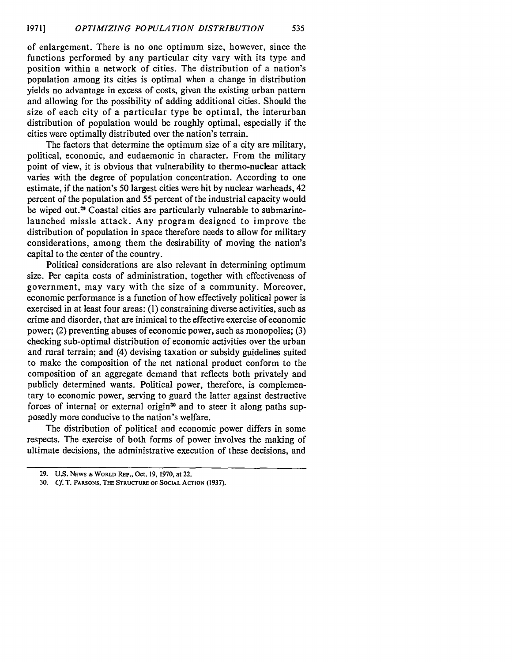of enlargement. There is no one optimum size, however, since the functions performed by any particular city vary with its type and position within a network of cities. The distribution of a nation's population among its cities is optimal when a change in distribution yields no advantage in excess of costs, given the existing urban pattern and allowing for the possibility of adding additional cities. Should the size of each city of a particular type be optimal, the interurban distribution of population would be roughly optimal, especially if the cities were optimally distributed over the nation's terrain.

The factors that determine the optimum size of a city are military, political, economic, and eudaemonic in character. From the military point of view, it is obvious that vulnerability to thermo-nuclear attack varies with the degree of population concentration. According to one estimate, if the nation's **50** largest cities were hit by nuclear warheads, 42 percent of the population and **55** percent of the industrial capacity would be wiped out.<sup>29</sup> Coastal cities are particularly vulnerable to submarinelaunched missle attack. Any program designed to improve the distribution of population in space therefore needs to allow for military considerations, among them the desirability of moving the nation's capital to the center of the country.

Political considerations are also relevant in determining optimum size. Per capita costs of administration, together with effectiveness of government, may vary with the size of a community. Moreover, economic performance is a function of how effectively political power is exercised in at least four areas: (1) constraining diverse activities, such as crime and disorder, that are inimical to the effective exercise of economic power; (2) preventing abuses of economic power, such as monopolies; (3) checking sub-optimal distribution of economic activities over the urban and rural terrain; and (4) devising taxation or subsidy guidelines suited to make the composition of the net national product conform to the composition of an aggregate demand that reflects both privately and publicly determined wants. Political power, therefore, is complementary to economic power, serving to guard the latter against destructive forces of internal or external origin<sup>30</sup> and to steer it along paths supposedly more conducive to the nation's welfare.

The distribution of political and economic power differs in some respects. The exercise of both forms of power involves the making of ultimate decisions, the administrative execution of these decisions, and

**<sup>29.</sup> U.S.** NEWS & **WORLD REP., Oct. 19,** 1970, at **22.**

**<sup>30.</sup> Cf.** T. **PARSONS, THE STRUCTURE OF SOCIAL ACTION (1937).**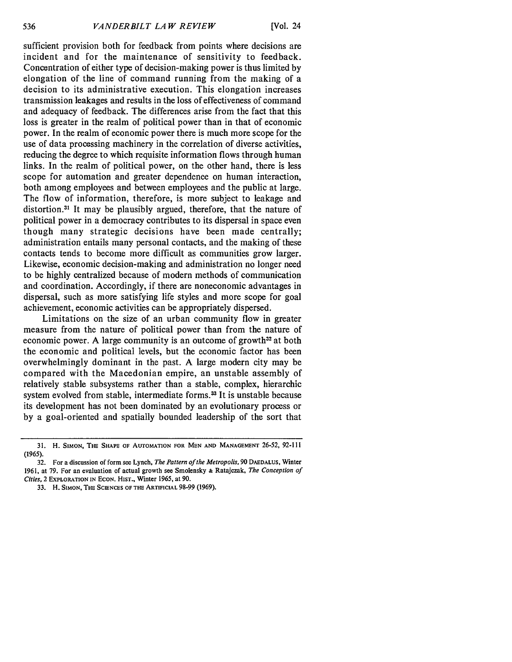sufficient provision both for feedback from points where decisions are incident and for the maintenance of sensitivity to feedback. Concentration of either type of decision-making power is thus limited by elongation of the line of command running from the making of a decision to its administrative execution. This elongation increases transmission leakages and results in the loss of effectiveness of command and adequacy of feedback. The differences arise from the fact that this loss is greater in the realm of political power than in that of economic power. In the realm of economic power there is much more scope for the use of data processing machinery in the correlation of diverse activities, reducing the degree to which requisite information flows through human links. In the realm of political power, on the other hand, there is less scope for automation and greater dependence on human interaction, both among employees and between employees and the public at large. The flow of information, therefore, is more subject to leakage and distortion.<sup>31</sup> It may be plausibly argued, therefore, that the nature of political power in a democracy contributes to its dispersal in space even though many strategic decisions have been made centrally; administration entails many personal contacts, and the making of these contacts tends to become more difficult as communities grow larger. Likewise, economic decision-making and administration no longer need to be highly centralized because of modern methods of communication and coordination. Accordingly, if there are noneconomic advantages in dispersal, such as more satisfying life styles and more scope for goal achievement, economic activities can be appropriately dispersed.

Limitations on the size of an urban community flow in greater measure from the nature of political power than from the nature of economic power. A large community is an outcome of growth<sup>32</sup> at both the economic and political levels, but the economic factor has been overwhelmingly dominant in the past. A large modern city may be compared with the Macedonian empire, an unstable assembly of relatively stable subsystems rather than a stable, complex, hierarchic system evolved from stable, intermediate forms.<sup>33</sup> It is unstable because its development has not been dominated by an evolutionary process or by a goal-oriented and spatially bounded leadership of the sort that

**<sup>31.</sup>** H. **SIMON, THE SHAPE** OF **AUTOMATION** FOR **MEN AND** MANAGEMENT **26-52, 92-111 (1965).**

**<sup>32.</sup>** For a discussion of form see **Lynch,** *The Pattern of the Metropolis,* 90 **DAEDALUS,** Winter 1961, at 79. For an evaluation of actual growth see Smolensky **&** Ratajczak, *The Conception of Cities,* 2 EXPLORATION **IN** EcON. **HIST.,** Winter **1965,** at 90.

<sup>33.</sup> H. **SIMON,** THE SCIENCES **OF THE** ARTIFICIAL 98-99 (1969).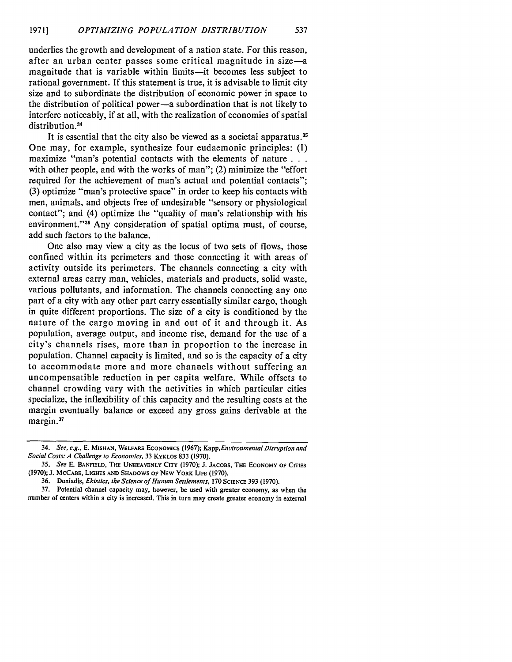underlies the growth and development of a nation state. For this reason, after an urban center passes some critical magnitude in size-a magnitude that is variable within limits—it becomes less subject to rational government. If this statement is true, it is advisable to limit city size and to subordinate the distribution of economic power in space to the distribution of political power-a subordination that is not likely to interfere noticeably, if at all, with the realization of economies of spatial distribution.<sup>34</sup>

It is essential that the city also be viewed as a societal apparatus.<sup>35</sup> One may, for example, synthesize four eudaemonic principles: (1) maximize "man's potential contacts with the elements of nature... with other people, and with the works of man"; (2) minimize the "effort required for the achievement of man's actual and potential contacts"; (3) optimize "man's protective space" in order to keep his contacts with men, animals, and objects free of undesirable "sensory or physiological contact"; and (4) optimize the "quality of man's relationship with his environment."<sup>36</sup> Any consideration of spatial optima must, of course, add such factors to the balance.

One also may view a city as the locus of two sets of flows, those confined within its perimeters and those connecting it with areas of activity outside its perimeters. The channels connecting a city with external areas carry man, vehicles, materials and products, solid waste, various pollutants, and information. The channels connecting any one part of a city with any other part carry essentially similar cargo, though in quite different proportions. The size of a city is conditioned by the nature of the cargo moving in and out of it and through it. As population, average output, and income rise, demand for the use of a city's channels rises, more than in proportion to the increase in population. Channel capacity is limited, and so is the capacity of a city to accommodate more and more channels without suffering an uncompensatible reduction in per capita welfare. While offsets to channel crowding vary with the activities in which particular cities specialize, the inflexibility of this capacity and the resulting costs at the margin eventually balance or exceed any gross gains derivable at the margin.<sup>37</sup>

**<sup>34.</sup> See, e.g., E. MISHAN, WELFARE** ECONOMICS **(1967);** *Kapp,Environmental Disruption and* Social Costs: **A** Challenge to Economics, **33** KYKLOS **833 (1970).**

*<sup>35.</sup>* See **E. BANFIELD, THE UNHEAVENLY** CITY **(1970); J. JACOBS,** THE ECONOMY **OF CITIES (1970); J. MCCABE, LIGHTS AND SHADOWS OF NEW** YORK **LIFE (1970).**

**<sup>36.</sup>** Doxiadis, Ekistics, the Science **of** Human Settlements, **170 SCIENCE 393 (1970).**

**<sup>37.</sup> Potential** channel capacity **may,** however, **be** used with **greater** economy, as when the number of centers within a city **is** increased. This **in turn** may create **greater economy in** external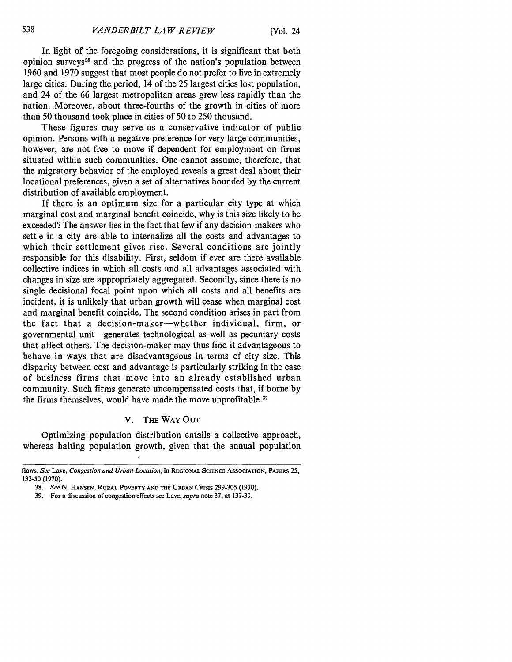In light of the foregoing considerations, it is significant that both opinion surveys<sup>38</sup> and the progress of the nation's population between 1960 and 1970 suggest that most people do not prefer to live in extremely large cities. During the period, 14 of the 25 largest cities lost population, and 24 of the 66 largest metropolitan areas grew less rapidly than the nation. Moreover, about three-fourths of the growth in cities of more than 50 thousand took place in cities of 50 to 250 thousand.

These figures may serve as a conservative indicator of public opinion. Persons with a negative preference for very large communities, however, are not free to move if dependent for employment on firms situated within such communities. One cannot assume, therefore, that the migratory behavior of the employed reveals a great deal about their locational preferences, given a set of alternatives bounded by the current distribution of available employment.

If there is an optimum size for a particular city type at which marginal cost and marginal benefit coincide, why is this size likely to be exceeded? The answer lies in the fact that few if any decision-makers who settle in a city are able to internalize all the costs and advantages to which their settlement gives rise. Several conditions are jointly responsible for this disability. First, seldom if ever are there available collective indices in which all costs and all advantages associated with changes in size are appropriately aggregated. Secondly, since there is no single decisional focal point upon which all costs and all benefits are incident, it is unlikely that urban growth will cease when marginal cost and marginal benefit coincide. The second condition arises in part from the fact that a decision-maker-whether individual, firm, or governmental unit-generates technological as well as pecuniary costs that affect others. The decision-maker may thus find it advantageous to behave in ways that are disadvantageous in terms of city size. This disparity between cost and advantage is particularly striking in the case of business firms that move into an already established urban community. Such firms generate uncompensated costs that, if borne by the firms themselves, would have made the move unprofitable.<sup>39</sup>

#### V. THE WAY OUT

Optimizing population distribution entails a collective approach, whereas halting population growth, given that the annual population

flows. *See* **Lave,** *Congestion and Urban Location,* **in REGIONAL SCIENCE ASSOCIATION, PAPERS** 25, 133-50 (1970).

<sup>38.</sup> *See* N. **HANSEN,** RURAL POVERTY **AND THE URBAN** CRISIS 299-305 (1970).

<sup>39.</sup> For a discussion of congestion effects see Lave, *supra* note 37, at 137-39.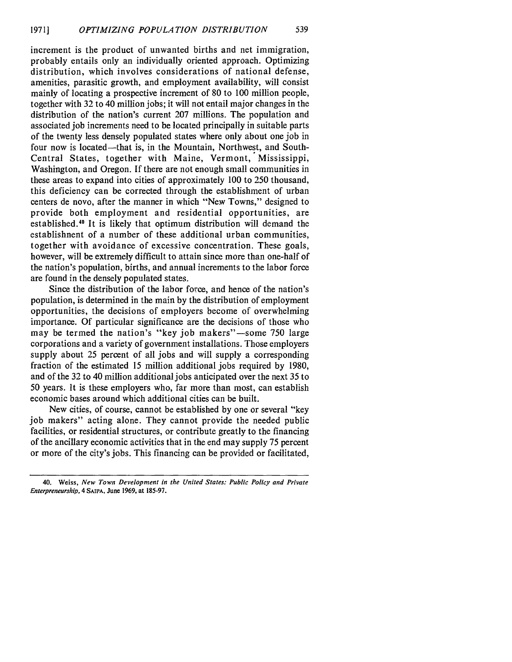increment is the product of unwanted births and net immigration, probably entails only an individually oriented approach. Optimizing distribution, which involves considerations of national defense, amenities, parasitic growth, and employment availability, will consist mainly of locating a prospective increment of 80 to 100 million people, together with 32 to 40 million jobs; it will not entail major changes in the distribution of the nation's current 207 millions. The population and associated job increments need to be located principally in suitable parts of the twenty less densely populated states where only about one job in four now is located—that is, in the Mountain, Northwest, and South-Central States, together with Maine, Vermont, Mississippi, Washington, and Oregon. If there are not enough small communities in these areas to expand into cities of approximately 100 to 250 thousand, this deficiency can be corrected through the establishment of urban centers de novo, after the manner in which "New Towns," designed to provide both employment and residential opportunities, are established.40 It is likely that optimum distribution will demand the establishnent of a number of these additional urban communities, together with avoidance of excessive concentration. These goals, however, will be extremely difficult to attain since more than one-half of the nation's population, births, and annual increments to the labor force are found in the densely populated states.

Since the distribution of the labor force, and hence of the nation's population, is determined in the main by the distribution of employment opportunities, the decisions of employers become of overwhelming importance. Of particular significance are the decisions of those who may be termed the nation's "key job makers"—some 750 large corporations and a variety of government installations. Those employers supply about 25 percent of all jobs and will supply a corresponding fraction of the estimated 15 million additional jobs required by 1980, and of the 32 to 40 million additional jobs anticipated over the next 35 to 50 years. It is these employers who, far more than most, can establish economic bases around which additional cities can be built.

New cities, of course, cannot be established by one or several "key job makers" acting alone. They cannot provide the needed public facilities, or residential structures, or contribute greatly to the financing of the ancillary economic activities that in the end may supply 75 percent or more of the city's jobs. This financing can be provided or facilitated,

<sup>40.</sup> Weiss, *New Town Development in the United States: Public Policy and Private Enterpreneurship,* 4 **SAu'A, June 1969, at 185-97.**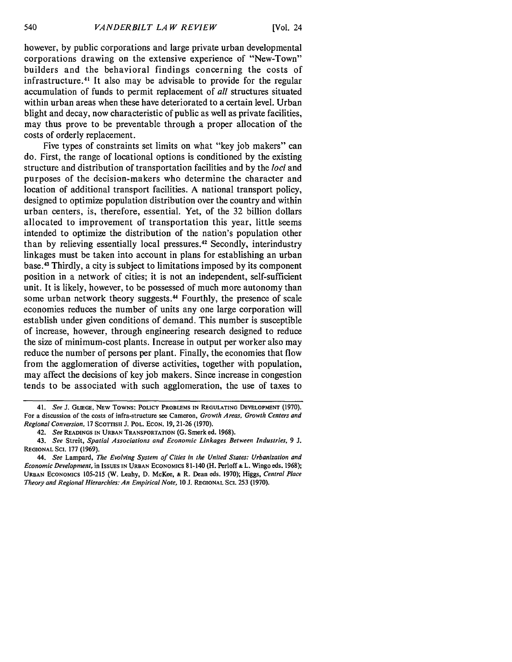however, by public corporations and large private urban developmental corporations drawing on the extensive experience of "New-Town" builders and the behavioral findings concerning the costs of infrastructure.<sup>41</sup> It also may be advisable to provide for the regular accumulation of funds to permit replacement of *all* structures situated within urban areas when these have deteriorated to a certain level. Urban blight and decay, now characteristic of public as well as private facilities, may thus prove to be preventable through a proper allocation of the costs of orderly replacement.

Five types of constraints set limits on what "key job makers" can do. First, the range of locational options is conditioned by the existing structure and distribution of transportation facilities and by the *loci* and purposes of the decision-makers who determine the character and location of additional transport facilities. A national transport policy, designed to optimize population distribution over the country and within urban centers, is, therefore, essential. Yet, of the 32 billion dollars allocated to improvement of transportation this year, little seems intended to optimize the distribution of the nation's population other than by relieving essentially local pressures.<sup>42</sup> Secondly, interindustry linkages must be taken into account in plans for establishing an urban base.4 Thirdly, a city is subject to limitations imposed by its component position in a network of cities; it is not an independent, self-sufficient unit. It is likely, however, to be possessed of much more autonomy than some urban network theory suggests.<sup>44</sup> Fourthly, the presence of scale economies reduces the number of units any one large corporation will establish under given conditions of demand. This number is susceptible of increase, however, through engineering research designed to reduce the size of minimum-cost plants. Increase in output per worker also may reduce the number of persons per plant. Finally, the economies that flow from the agglomeration of diverse activities, together with population, may affect the decisions of key job makers. Since increase in congestion tends to be associated with such agglomeration, the use of taxes to

**<sup>41.</sup>** *See* **J. GLIEGE, NEW TOWNS: POLICY** PROBLEMS **IN REGULATING DEVELOPMENT (1970). For** a discussion of **the** costs of infra-structure **see** Cameron, *Growth Areas, Growth Centers and Regional Conversion,* **17** SCOTTISH **J. POL. ECON. 19, 21-26 (1970).**

**<sup>42.</sup>** *See* **READINGS IN URBAN** TRANSPORTATION **(G.** Smerk **ed. 1968).**

**<sup>43.</sup>** *See* **Streit,** *Spatial Associations and Economic Linkages Between Industries,* **9** *J.* **REGIONAL SCI. 177 (1969).**

*<sup>44.</sup> See* Lampard, *The Evolving System of Cities in the United States: Urbanization and Economic Development,* in **IssuEs IN URBAN** ECONOMICS **81-140 (H.** Perloff **& L.** Wingo **eds. 1968); URBAN** ECONOMICS **105-215 (W.** Leahy, **D.** McKee, **& R.** Dean **eds. 1970);** Higgs, *Central Place Theory and Regional Hierarchies: An Empirical Note, 10 3.* **REGIONAL Sci. 253 (1970).**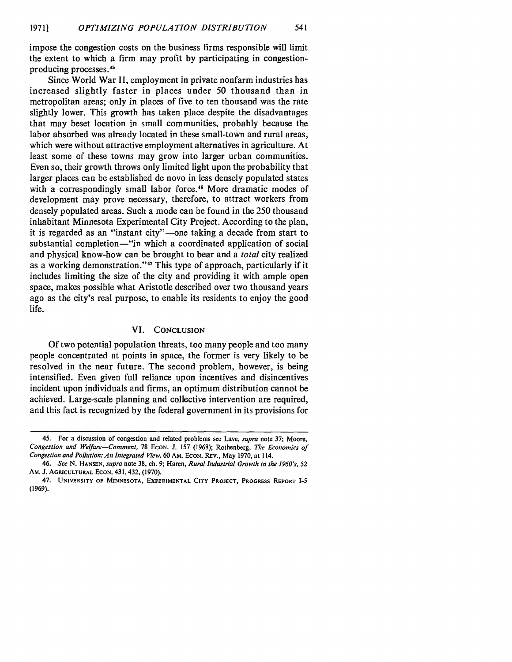impose the congestion costs on the business firms responsible will limit the extent to which a firm may profit by participating in congestionproducing processes.<sup>49</sup>

Since World War II, employment in private nonfarm industries has increased slightly faster in places under 50 thousand than in metropolitan areas; only in places of five to ten thousand was the rate slightly lower. This growth has taken place despite the disadvantages that may beset location in small communities, probably because the labor absorbed was already located in these small-town and rural areas, which were without attractive employment alternatives in agriculture. At least some of these towns may grow into larger urban communities. Even so, their growth throws only limited light upon the probability that larger places can be established de novo in less densely populated states with a correspondingly small labor force.<sup>46</sup> More dramatic modes of development may prove necessary, therefore, to attract workers from densely populated areas. Such a mode can be found in the 250 thousand inhabitant Minnesota Experimental City Project. According to the plan, it is regarded as an "instant city"-one taking a decade from start to substantial completion—"in which a coordinated application of social and physical know-how can be brought to bear and a *total* city realized as a working demonstration."<sup>47</sup> This type of approach, particularly if it includes limiting the size of the city and providing it with ample open space, makes possible what Aristotle described over two thousand years ago as the city's real purpose, to enable its residents to enjoy the good life.

#### VI. **CONCLUSION**

Of two potential population threats, too many people and too many people concentrated at points in space, the former is very likely to be resolved in the near future. The second problem, however, is being intensified. Even given full reliance upon incentives and disincentives incident upon individuals and firms, an optimum distribution cannot be achieved. Large-scale planning and collective intervention are required, and this fact is recognized **by** the federal government in its provisions for

<sup>45.</sup> For a discussion of congestion and related problems see Lave, *supra* note 37; Moore, *Congestion and Welfare-Comment,* 78 EcoN. **J. 157** (1968); Rothenberg, *The Economics of Congestion and Pollution: An Integrated View,* **60** AM. EcON. REv., May 1970, at 114.

*<sup>46.</sup> See* N. **HANSEN,** *supra* note 38, ch. 9; Haren, *Rural Industrial Growth in the 1960's, 52* AM. **J. AGRICULTURAL** ECON. 431,432, (1970).

<sup>47.</sup> **UNIVERSITY OF MINNESOTA, EXPERIMENTAL CITY PROJECT, PROGRESS REPORT** *1-5* **(1969).**